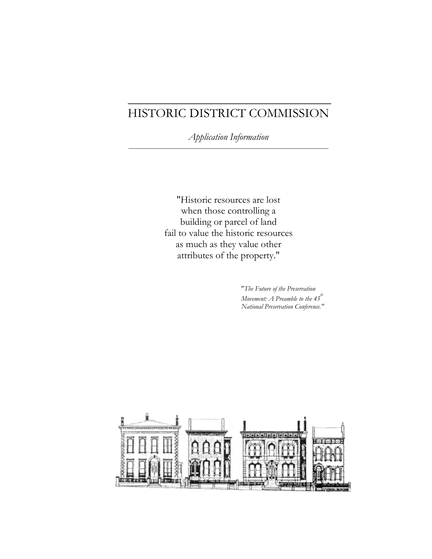## HISTORIC DISTRICT COMMISSION

\_\_\_\_\_\_\_\_\_\_\_\_\_\_\_\_\_\_\_\_\_\_\_\_\_\_\_\_\_\_\_\_

*Application Information \_\_\_\_\_\_\_\_\_\_\_\_\_\_\_\_\_\_\_\_\_\_\_\_\_\_\_\_\_\_\_\_\_\_\_\_\_\_\_\_\_\_\_\_\_\_\_\_\_\_\_\_\_\_\_\_\_\_\_\_\_\_\_* 

"Historic resources are lost when those controlling a building or parcel of land fail to value the historic resources as much as they value other attributes of the property."

> "*The Future of the Preservation Movement: A Preamble to the 45th National Preservation Conference."*

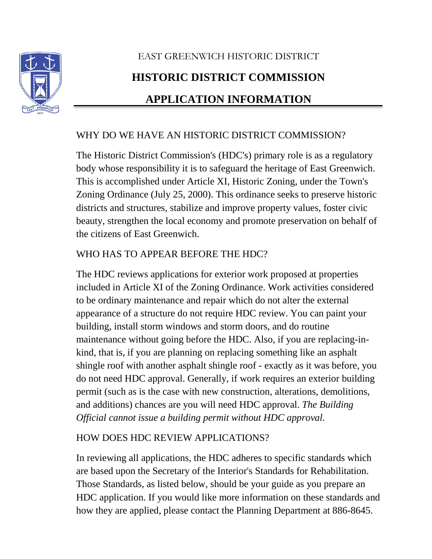

# EAST GREENWICH HISTORIC DISTRICT **HISTORIC DISTRICT COMMISSION APPLICATION INFORMATION**

## WHY DO WE HAVE AN HISTORIC DISTRICT COMMISSION?

The Historic District Commission's (HDC's) primary role is as a regulatory body whose responsibility it is to safeguard the heritage of East Greenwich. This is accomplished under Article XI, Historic Zoning, under the Town's Zoning Ordinance (July 25, 2000). This ordinance seeks to preserve historic districts and structures, stabilize and improve property values, foster civic beauty, strengthen the local economy and promote preservation on behalf of the citizens of East Greenwich.

## WHO HAS TO APPEAR BEFORE THE HDC?

The HDC reviews applications for exterior work proposed at properties included in Article XI of the Zoning Ordinance. Work activities considered to be ordinary maintenance and repair which do not alter the external appearance of a structure do not require HDC review. You can paint your building, install storm windows and storm doors, and do routine maintenance without going before the HDC. Also, if you are replacing-inkind, that is, if you are planning on replacing something like an asphalt shingle roof with another asphalt shingle roof - exactly as it was before, you do not need HDC approval. Generally, if work requires an exterior building permit (such as is the case with new construction, alterations, demolitions, and additions) chances are you will need HDC approval. *The Building Official cannot issue a building permit without HDC approval.* 

## HOW DOES HDC REVIEW APPLICATIONS?

In reviewing all applications, the HDC adheres to specific standards which are based upon the Secretary of the Interior's Standards for Rehabilitation. Those Standards, as listed below, should be your guide as you prepare an HDC application. If you would like more information on these standards and how they are applied, please contact the Planning Department at 886-8645.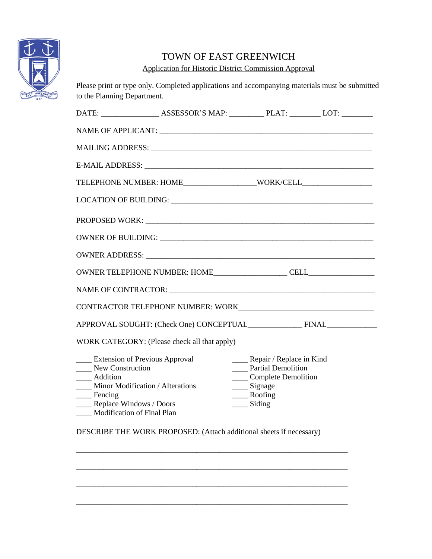

## TOWN OF EAST GREENWICH

Application for Historic District Commission Approval

Please print or type only. Completed applications and accompanying materials must be submitted to the Planning Department.

| TELEPHONE NUMBER: HOME______________________WORK/CELL___________________________                                                                                                                               |  |                                                                                                                                                       |  |  |
|----------------------------------------------------------------------------------------------------------------------------------------------------------------------------------------------------------------|--|-------------------------------------------------------------------------------------------------------------------------------------------------------|--|--|
|                                                                                                                                                                                                                |  |                                                                                                                                                       |  |  |
|                                                                                                                                                                                                                |  |                                                                                                                                                       |  |  |
|                                                                                                                                                                                                                |  |                                                                                                                                                       |  |  |
|                                                                                                                                                                                                                |  |                                                                                                                                                       |  |  |
|                                                                                                                                                                                                                |  |                                                                                                                                                       |  |  |
| NAME OF CONTRACTOR: NAME OF CONTRACTORS                                                                                                                                                                        |  |                                                                                                                                                       |  |  |
|                                                                                                                                                                                                                |  |                                                                                                                                                       |  |  |
| APPROVAL SOUGHT: (Check One) CONCEPTUAL FINAL FINAL                                                                                                                                                            |  |                                                                                                                                                       |  |  |
| WORK CATEGORY: (Please check all that apply)                                                                                                                                                                   |  |                                                                                                                                                       |  |  |
| ____ Extension of Previous Approval<br>New Construction<br>___ Addition<br>Minor Modification / Alterations<br>$\frac{1}{\sqrt{2}}$ Fencing<br>____ Replace Windows / Doors<br>____ Modification of Final Plan |  | _____ Repair / Replace in Kind<br><b>Partial Demolition</b><br>____ Complete Demolition<br>___ Signage<br>____ Roofing<br>$\frac{1}{\sqrt{2}}$ Siding |  |  |

DESCRIBE THE WORK PROPOSED: (Attach additional sheets if necessary)

\_\_\_\_\_\_\_\_\_\_\_\_\_\_\_\_\_\_\_\_\_\_\_\_\_\_\_\_\_\_\_\_\_\_\_\_\_\_\_\_\_\_\_\_\_\_\_\_\_\_\_\_\_\_\_\_\_\_\_\_\_\_\_\_\_\_\_\_\_\_

\_\_\_\_\_\_\_\_\_\_\_\_\_\_\_\_\_\_\_\_\_\_\_\_\_\_\_\_\_\_\_\_\_\_\_\_\_\_\_\_\_\_\_\_\_\_\_\_\_\_\_\_\_\_\_\_\_\_\_\_\_\_\_\_\_\_\_\_\_\_

\_\_\_\_\_\_\_\_\_\_\_\_\_\_\_\_\_\_\_\_\_\_\_\_\_\_\_\_\_\_\_\_\_\_\_\_\_\_\_\_\_\_\_\_\_\_\_\_\_\_\_\_\_\_\_\_\_\_\_\_\_\_\_\_\_\_\_\_\_\_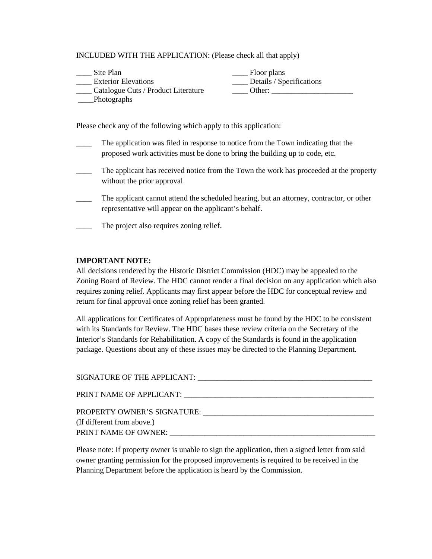INCLUDED WITH THE APPLICATION: (Please check all that apply)

| Site Plan                           | Floor plans              |
|-------------------------------------|--------------------------|
| <b>Exterior Elevations</b>          | Details / Specifications |
| Catalogue Cuts / Product Literature | Other:                   |
| Photographs                         |                          |

Please check any of the following which apply to this application:

- The application was filed in response to notice from the Town indicating that the proposed work activities must be done to bring the building up to code, etc.
- The applicant has received notice from the Town the work has proceeded at the property without the prior approval
- The applicant cannot attend the scheduled hearing, but an attorney, contractor, or other representative will appear on the applicant's behalf.
- The project also requires zoning relief.

#### **IMPORTANT NOTE:**

All decisions rendered by the Historic District Commission (HDC) may be appealed to the Zoning Board of Review. The HDC cannot render a final decision on any application which also requires zoning relief. Applicants may first appear before the HDC for conceptual review and return for final approval once zoning relief has been granted.

All applications for Certificates of Appropriateness must be found by the HDC to be consistent with its Standards for Review. The HDC bases these review criteria on the Secretary of the Interior's Standards for Rehabilitation. A copy of the Standards is found in the application package. Questions about any of these issues may be directed to the Planning Department.

| PROPERTY OWNER'S SIGNATURE: |
|-----------------------------|
| (If different from above.)  |
| PRINT NAME OF OWNER:        |

Please note: If property owner is unable to sign the application, then a signed letter from said owner granting permission for the proposed improvements is required to be received in the Planning Department before the application is heard by the Commission.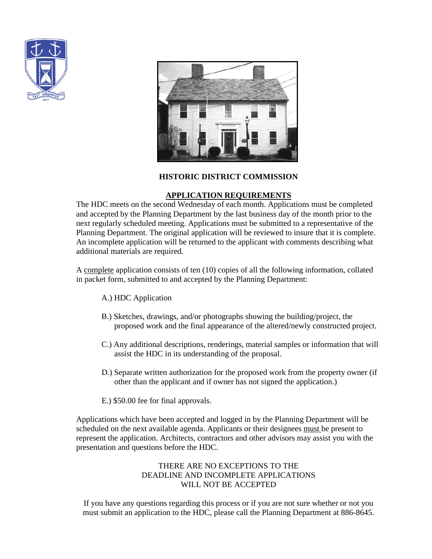



#### **HISTORIC DISTRICT COMMISSION**

#### **APPLICATION REQUIREMENTS**

The HDC meets on the second Wednesday of each month. Applications must be completed and accepted by the Planning Department by the last business day of the month prior to the next regularly scheduled meeting. Applications must be submitted to a representative of the Planning Department. The original application will be reviewed to insure that it is complete. An incomplete application will be returned to the applicant with comments describing what additional materials are required.

A complete application consists of ten (10) copies of all the following information, collated in packet form, submitted to and accepted by the Planning Department:

- A.) HDC Application
- B.) Sketches, drawings, and/or photographs showing the building/project, the proposed work and the final appearance of the altered/newly constructed project.
- C.) Any additional descriptions, renderings, material samples or information that will assist the HDC in its understanding of the proposal.
- D.) Separate written authorization for the proposed work from the property owner (if other than the applicant and if owner has not signed the application.)
- E.) \$50.00 fee for final approvals.

Applications which have been accepted and logged in by the Planning Department will be scheduled on the next available agenda. Applicants or their designees must be present to represent the application. Architects, contractors and other advisors may assist you with the presentation and questions before the HDC.

#### THERE ARE NO EXCEPTIONS TO THE DEADLINE AND INCOMPLETE APPLICATIONS WILL NOT BE ACCEPTED

If you have any questions regarding this process or if you are not sure whether or not you must submit an application to the HDC, please call the Planning Department at 886-8645.